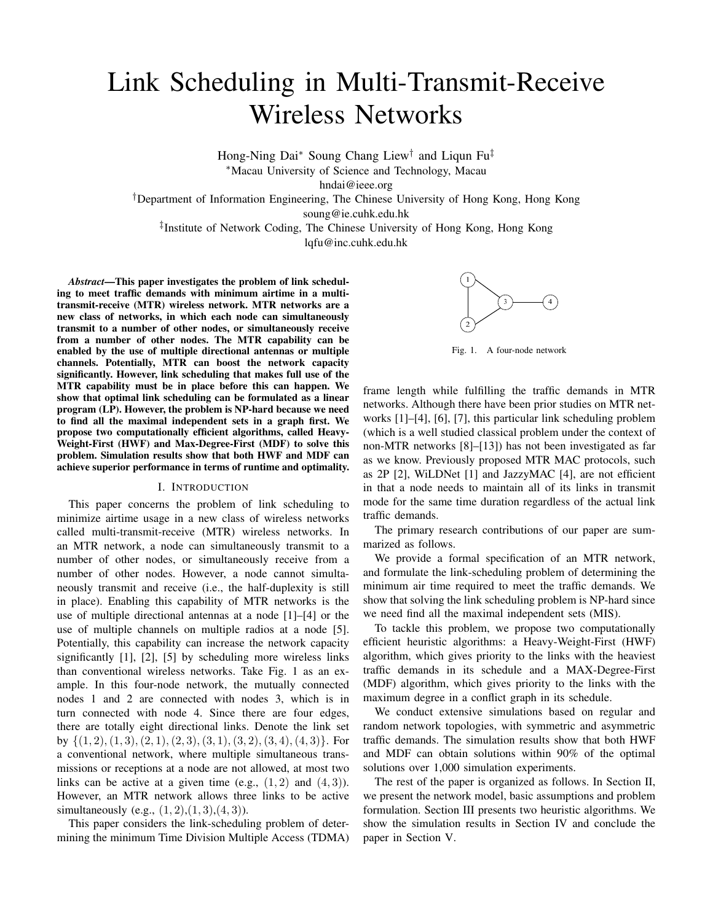# Link Scheduling in Multi-Transmit-Receive Wireless Networks

Hong-Ning Dai∗ Soung Chang Liew† and Liqun Fu‡ ∗Macau University of Science and Technology, Macau

hndai@ieee.org

†Department of Information Engineering, The Chinese University of Hong Kong, Hong Kong soung@ie.cuhk.edu.hk

‡Institute of Network Coding, The Chinese University of Hong Kong, Hong Kong lqfu@inc.cuhk.edu.hk

*Abstract***—This paper investigates the problem of link scheduling to meet traffic demands with minimum airtime in a multitransmit-receive (MTR) wireless network. MTR networks are a new class of networks, in which each node can simultaneously transmit to a number of other nodes, or simultaneously receive from a number of other nodes. The MTR capability can be enabled by the use of multiple directional antennas or multiple channels. Potentially, MTR can boost the network capacity significantly. However, link scheduling that makes full use of the MTR capability must be in place before this can happen. We show that optimal link scheduling can be formulated as a linear program (LP). However, the problem is NP-hard because we need to find all the maximal independent sets in a graph first. We propose two computationally efficient algorithms, called Heavy-Weight-First (HWF) and Max-Degree-First (MDF) to solve this problem. Simulation results show that both HWF and MDF can achieve superior performance in terms of runtime and optimality.**

#### I. INTRODUCTION

This paper concerns the problem of link scheduling to minimize airtime usage in a new class of wireless networks called multi-transmit-receive (MTR) wireless networks. In an MTR network, a node can simultaneously transmit to a number of other nodes, or simultaneously receive from a number of other nodes. However, a node cannot simultaneously transmit and receive (i.e., the half-duplexity is still in place). Enabling this capability of MTR networks is the use of multiple directional antennas at a node [1]–[4] or the use of multiple channels on multiple radios at a node [5]. Potentially, this capability can increase the network capacity significantly [1], [2], [5] by scheduling more wireless links than conventional wireless networks. Take Fig. 1 as an example. In this four-node network, the mutually connected nodes 1 and 2 are connected with nodes 3, which is in turn connected with node 4. Since there are four edges, there are totally eight directional links. Denote the link set by  $\{(1, 2), (1, 3), (2, 1), (2, 3), (3, 1), (3, 2), (3, 4), (4, 3)\}.$  For a conventional network, where multiple simultaneous transmissions or receptions at a node are not allowed, at most two links can be active at a given time (e.g.,  $(1, 2)$  and  $(4, 3)$ ). However, an MTR network allows three links to be active simultaneously (e.g.,  $(1, 2), (1, 3), (4, 3)$ ).

This paper considers the link-scheduling problem of determining the minimum Time Division Multiple Access (TDMA)



Fig. 1. A four-node network

frame length while fulfilling the traffic demands in MTR networks. Although there have been prior studies on MTR networks [1]–[4], [6], [7], this particular link scheduling problem (which is a well studied classical problem under the context of non-MTR networks [8]–[13]) has not been investigated as far as we know. Previously proposed MTR MAC protocols, such as 2P [2], WiLDNet [1] and JazzyMAC [4], are not efficient in that a node needs to maintain all of its links in transmit mode for the same time duration regardless of the actual link traffic demands.

The primary research contributions of our paper are summarized as follows.

We provide a formal specification of an MTR network, and formulate the link-scheduling problem of determining the minimum air time required to meet the traffic demands. We show that solving the link scheduling problem is NP-hard since we need find all the maximal independent sets (MIS).

To tackle this problem, we propose two computationally efficient heuristic algorithms: a Heavy-Weight-First (HWF) algorithm, which gives priority to the links with the heaviest traffic demands in its schedule and a MAX-Degree-First (MDF) algorithm, which gives priority to the links with the maximum degree in a conflict graph in its schedule.

We conduct extensive simulations based on regular and random network topologies, with symmetric and asymmetric traffic demands. The simulation results show that both HWF and MDF can obtain solutions within 90% of the optimal solutions over 1,000 simulation experiments.

The rest of the paper is organized as follows. In Section II, we present the network model, basic assumptions and problem formulation. Section III presents two heuristic algorithms. We show the simulation results in Section IV and conclude the paper in Section V.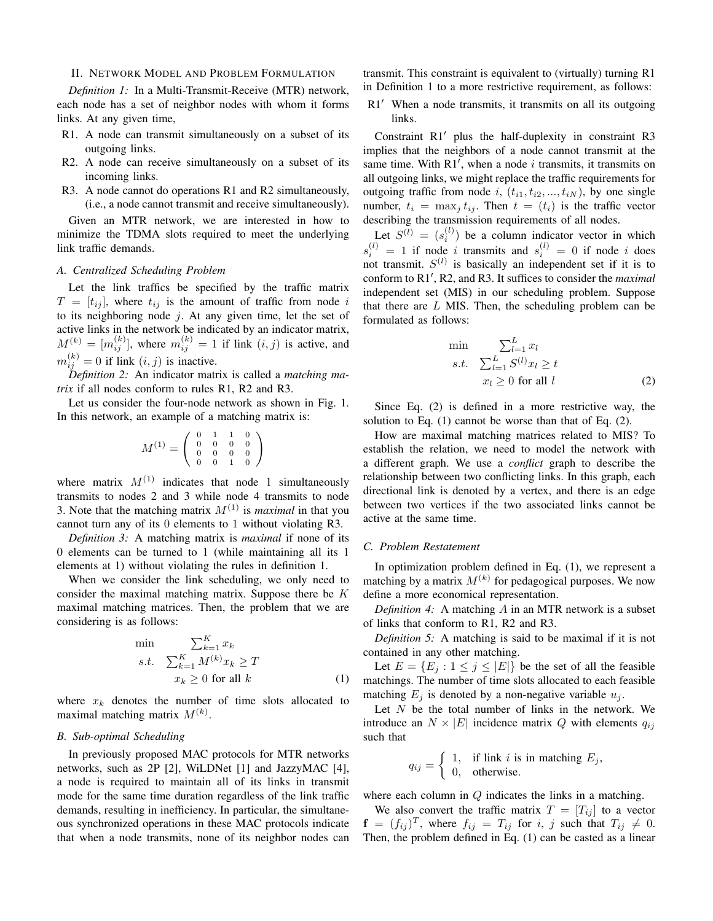### II. NETWORK MODEL AND PROBLEM FORMULATION

*Definition 1:* In a Multi-Transmit-Receive (MTR) network, each node has a set of neighbor nodes with whom it forms links. At any given time,

- R1. A node can transmit simultaneously on a subset of its outgoing links.
- R2. A node can receive simultaneously on a subset of its incoming links.
- R3. A node cannot do operations R1 and R2 simultaneously, (i.e., a node cannot transmit and receive simultaneously).

Given an MTR network, we are interested in how to minimize the TDMA slots required to meet the underlying link traffic demands.

# *A. Centralized Scheduling Problem*

Let the link traffics be specified by the traffic matrix  $T = [ t_{ij} ]$ , where  $t_{ij}$  is the amount of traffic from node i to its neighboring node  $i$ . At any given time, let the set of active links in the network be indicated by an indicator matrix,  $M^{(k)} = [m_{ij}^{(k)}]$ , where  $m_{ij}^{(k)} = 1$  if link  $(i, j)$  is active, and  $m_{ij}^{(k)} = 0$  if link  $(i, j)$  is inactive.

*Definition 2:* An indicator matrix is called a *matching matrix* if all nodes conform to rules R1, R2 and R3.

Let us consider the four-node network as shown in Fig. 1. In this network, an example of a matching matrix is:

$$
M^{(1)} = \left(\begin{array}{cccc} 0 & 1 & 1 & 0 \\ 0 & 0 & 0 & 0 \\ 0 & 0 & 0 & 0 \\ 0 & 0 & 1 & 0 \end{array}\right)
$$

where matrix  $M^{(1)}$  indicates that node 1 simultaneously transmits to nodes 2 and 3 while node 4 transmits to node 3. Note that the matching matrix  $M^{(1)}$  is *maximal* in that you cannot turn any of its 0 elements to 1 without violating R3.

*Definition 3:* A matching matrix is *maximal* if none of its 0 elements can be turned to 1 (while maintaining all its 1 elements at 1) without violating the rules in definition 1.

When we consider the link scheduling, we only need to consider the maximal matching matrix. Suppose there be  $K$ maximal matching matrices. Then, the problem that we are considering is as follows:

$$
\min \sum_{k=1}^{K} x_k
$$
\n
$$
s.t. \quad \sum_{k=1}^{K} M^{(k)} x_k \ge T
$$
\n
$$
x_k \ge 0 \text{ for all } k
$$
\n
$$
(1)
$$

where  $x_k$  denotes the number of time slots allocated to maximal matching matrix  $M^{(k)}$ .

# *B. Sub-optimal Scheduling*

In previously proposed MAC protocols for MTR networks networks, such as 2P [2], WiLDNet [1] and JazzyMAC [4], a node is required to maintain all of its links in transmit mode for the same time duration regardless of the link traffic demands, resulting in inefficiency. In particular, the simultaneous synchronized operations in these MAC protocols indicate that when a node transmits, none of its neighbor nodes can

transmit. This constraint is equivalent to (virtually) turning R1 in Definition 1 to a more restrictive requirement, as follows:

R1′ When a node transmits, it transmits on all its outgoing links.

Constraint R1′ plus the half-duplexity in constraint R3 implies that the neighbors of a node cannot transmit at the same time. With  $R1'$ , when a node *i* transmits, it transmits on all outgoing links, we might replace the traffic requirements for outgoing traffic from node i,  $(t_{i1}, t_{i2}, ..., t_{iN})$ , by one single number,  $t_i = \max_i t_{ij}$ . Then  $t = (t_i)$  is the traffic vector describing the transmission requirements of all nodes.

Let  $S^{(l)} = (s_i^{(l)})$  be a column indicator vector in which  $s_i^{(l)} = 1$  if node *i* transmits and  $s_i^{(l)} = 0$  if node *i* does not transmit.  $S^{(l)}$  is basically an independent set if it is to conform to R1′ , R2, and R3. It suffices to consider the *maximal* independent set (MIS) in our scheduling problem. Suppose that there are  $L$  MIS. Then, the scheduling problem can be formulated as follows:

$$
\min \sum_{l=1}^{L} x_l
$$
\n
$$
s.t. \quad \sum_{l=1}^{L} S^{(l)} x_l \ge t
$$
\n
$$
x_l \ge 0 \text{ for all } l
$$
\n
$$
(2)
$$

Since Eq. (2) is defined in a more restrictive way, the solution to Eq. (1) cannot be worse than that of Eq. (2).

How are maximal matching matrices related to MIS? To establish the relation, we need to model the network with a different graph. We use a *conflict* graph to describe the relationship between two conflicting links. In this graph, each directional link is denoted by a vertex, and there is an edge between two vertices if the two associated links cannot be active at the same time.

# *C. Problem Restatement*

In optimization problem defined in Eq. (1), we represent a matching by a matrix  $M^{(k)}$  for pedagogical purposes. We now define a more economical representation.

*Definition 4:* A matching A in an MTR network is a subset of links that conform to R1, R2 and R3.

*Definition 5:* A matching is said to be maximal if it is not contained in any other matching.

Let  $E = \{E_j : 1 \le j \le |E|\}$  be the set of all the feasible matchings. The number of time slots allocated to each feasible matching  $E_j$  is denoted by a non-negative variable  $u_j$ .

Let  $N$  be the total number of links in the network. We introduce an  $N \times |E|$  incidence matrix Q with elements  $q_{ij}$ such that

$$
q_{ij} = \begin{cases} 1, & \text{if link } i \text{ is in matching } E_j, \\ 0, & \text{otherwise.} \end{cases}
$$

where each column in  $Q$  indicates the links in a matching.

We also convert the traffic matrix  $T = [T_{ij}]$  to a vector  $f = (f_{ij})^T$ , where  $f_{ij} = T_{ij}$  for i, j such that  $T_{ij} \neq 0$ . Then, the problem defined in Eq. (1) can be casted as a linear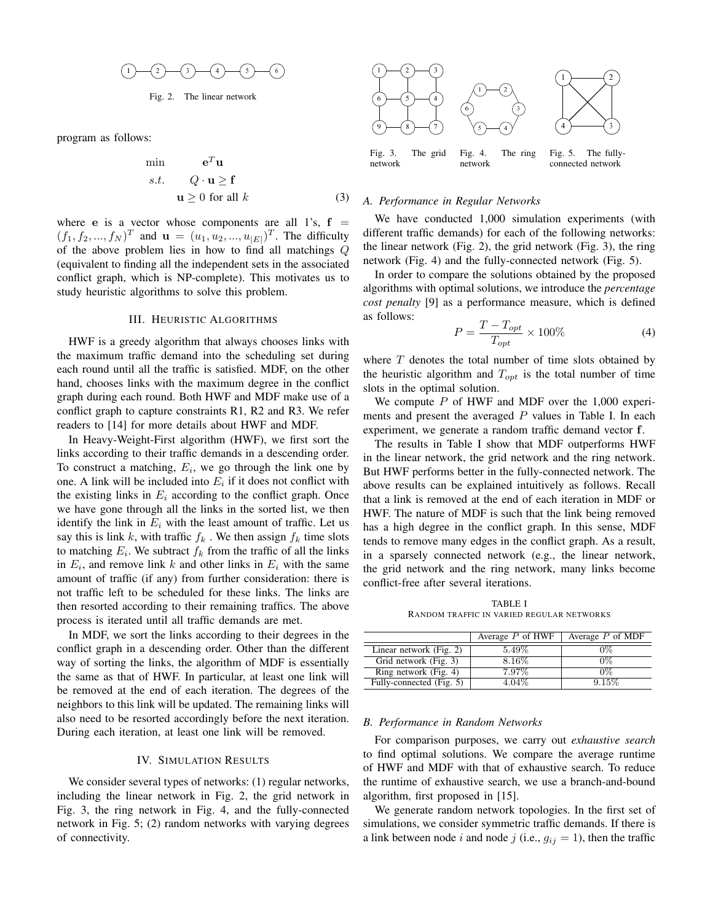$$
(1) - (2) - (3) - (4) - (5) - (6)
$$

Fig. 2. The linear network

program as follows:

$$
\begin{array}{ll}\n\text{min} & \mathbf{e}^T \mathbf{u} \\
s.t. & Q \cdot \mathbf{u} \ge \mathbf{f} \\
\mathbf{u} \ge 0 \text{ for all } k\n\end{array} \tag{3}
$$

where **e** is a vector whose components are all 1's,  $f =$  $(f_1, f_2, ..., f_N)^T$  and  $\mathbf{u} = (u_1, u_2, ..., u_{|E|})^T$ . The difficulty of the above problem lies in how to find all matchings  $Q$ (equivalent to finding all the independent sets in the associated conflict graph, which is NP-complete). This motivates us to study heuristic algorithms to solve this problem.

# III. HEURISTIC ALGORITHMS

HWF is a greedy algorithm that always chooses links with the maximum traffic demand into the scheduling set during each round until all the traffic is satisfied. MDF, on the other hand, chooses links with the maximum degree in the conflict graph during each round. Both HWF and MDF make use of a conflict graph to capture constraints R1, R2 and R3. We refer readers to [14] for more details about HWF and MDF.

In Heavy-Weight-First algorithm (HWF), we first sort the links according to their traffic demands in a descending order. To construct a matching,  $E_i$ , we go through the link one by one. A link will be included into  $E_i$  if it does not conflict with the existing links in  $E_i$  according to the conflict graph. Once we have gone through all the links in the sorted list, we then identify the link in  $E_i$  with the least amount of traffic. Let us say this is link k, with traffic  $f_k$ . We then assign  $f_k$  time slots to matching  $E_i$ . We subtract  $f_k$  from the traffic of all the links in  $E_i$ , and remove link k and other links in  $E_i$  with the same amount of traffic (if any) from further consideration: there is not traffic left to be scheduled for these links. The links are then resorted according to their remaining traffics. The above process is iterated until all traffic demands are met.

In MDF, we sort the links according to their degrees in the conflict graph in a descending order. Other than the different way of sorting the links, the algorithm of MDF is essentially the same as that of HWF. In particular, at least one link will be removed at the end of each iteration. The degrees of the neighbors to this link will be updated. The remaining links will also need to be resorted accordingly before the next iteration. During each iteration, at least one link will be removed.

## IV. SIMULATION RESULTS

We consider several types of networks: (1) regular networks, including the linear network in Fig. 2, the grid network in Fig. 3, the ring network in Fig. 4, and the fully-connected network in Fig. 5; (2) random networks with varying degrees of connectivity.



#### *A. Performance in Regular Networks*

We have conducted 1,000 simulation experiments (with different traffic demands) for each of the following networks: the linear network (Fig. 2), the grid network (Fig. 3), the ring network (Fig. 4) and the fully-connected network (Fig. 5).

In order to compare the solutions obtained by the proposed algorithms with optimal solutions, we introduce the *percentage cost penalty* [9] as a performance measure, which is defined as follows:

$$
P = \frac{T - T_{opt}}{T_{opt}} \times 100\%
$$
 (4)

where  $T$  denotes the total number of time slots obtained by the heuristic algorithm and  $T_{opt}$  is the total number of time slots in the optimal solution.

We compute  $P$  of HWF and MDF over the 1,000 experiments and present the averaged  $P$  values in Table I. In each experiment, we generate a random traffic demand vector **f**.

The results in Table I show that MDF outperforms HWF in the linear network, the grid network and the ring network. But HWF performs better in the fully-connected network. The above results can be explained intuitively as follows. Recall that a link is removed at the end of each iteration in MDF or HWF. The nature of MDF is such that the link being removed has a high degree in the conflict graph. In this sense, MDF tends to remove many edges in the conflict graph. As a result, in a sparsely connected network (e.g., the linear network, the grid network and the ring network, many links become conflict-free after several iterations.

TABLE I RANDOM TRAFFIC IN VARIED REGULAR NETWORKS

|                          | Average $P$ of HWF | Average $P$ of MDF |
|--------------------------|--------------------|--------------------|
| Linear network (Fig. 2)  | 5.49\%             | 0%                 |
| Grid network (Fig. 3)    | 8.16%              | $0\%$              |
| Ring network (Fig. 4)    | 7.97%              | $0\%$              |
| Fully-connected (Fig. 5) | 4.04\%             | 9.15%              |

## *B. Performance in Random Networks*

For comparison purposes, we carry out *exhaustive search* to find optimal solutions. We compare the average runtime of HWF and MDF with that of exhaustive search. To reduce the runtime of exhaustive search, we use a branch-and-bound algorithm, first proposed in [15].

We generate random network topologies. In the first set of simulations, we consider symmetric traffic demands. If there is a link between node *i* and node *j* (i.e.,  $g_{ij} = 1$ ), then the traffic